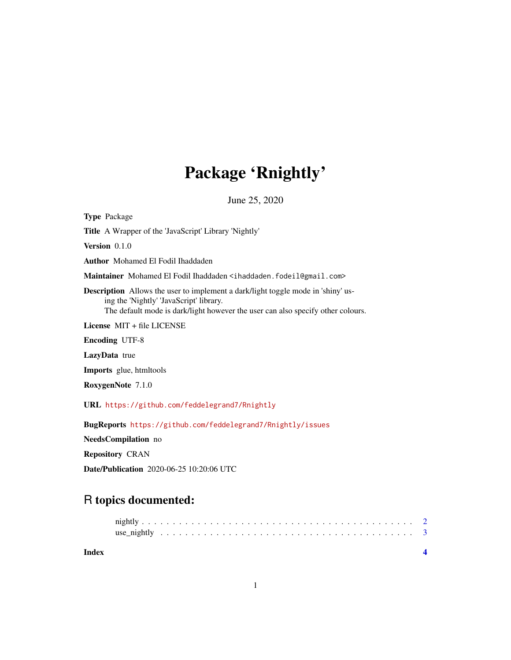## Package 'Rnightly'

June 25, 2020

Type Package Title A Wrapper of the 'JavaScript' Library 'Nightly' Version 0.1.0 Author Mohamed El Fodil Ihaddaden Maintainer Mohamed El Fodil Ihaddaden <ihaddaden.fodeil@gmail.com> Description Allows the user to implement a dark/light toggle mode in 'shiny' using the 'Nightly' 'JavaScript' library. The default mode is dark/light however the user can also specify other colours. License MIT + file LICENSE Encoding UTF-8 LazyData true Imports glue, htmltools RoxygenNote 7.1.0 URL <https://github.com/feddelegrand7/Rnightly> BugReports <https://github.com/feddelegrand7/Rnightly/issues>

NeedsCompilation no

Repository CRAN

Date/Publication 2020-06-25 10:20:06 UTC

### R topics documented:

| Index |  |  |  |  |  |  |  |  |  |  |  |  |  |  |  |  |  |  |  |
|-------|--|--|--|--|--|--|--|--|--|--|--|--|--|--|--|--|--|--|--|
|       |  |  |  |  |  |  |  |  |  |  |  |  |  |  |  |  |  |  |  |
|       |  |  |  |  |  |  |  |  |  |  |  |  |  |  |  |  |  |  |  |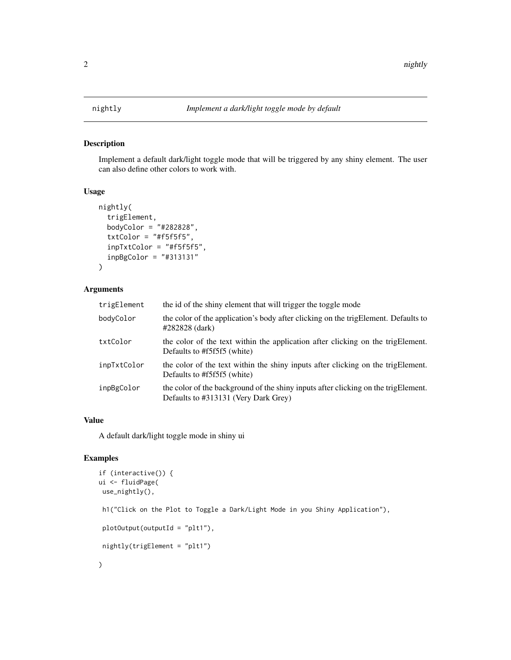#### Description

Implement a default dark/light toggle mode that will be triggered by any shiny element. The user can also define other colors to work with.

#### Usage

```
nightly(
  trigElement,
  bodyColor = "#282828",
  txtColor = "#f5f5f5",inpTxtColor = "#f5f5f5",
  inpBgColor = "#313131"
\mathcal{L}
```
#### Arguments

| trigElement | the id of the shiny element that will trigger the toggle mode                                                              |
|-------------|----------------------------------------------------------------------------------------------------------------------------|
| bodyColor   | the color of the application's body after clicking on the trigElement. Defaults to<br>#282828 (dark)                       |
| txtColor    | the color of the text within the application after clicking on the trigElement.<br>Defaults to #f5f5f5 (white)             |
| inpTxtColor | the color of the text within the shiny inputs after clicking on the trigElement.<br>Defaults to #f5f5f5 (white)            |
| inpBgColor  | the color of the background of the shiny inputs after clicking on the trigElement.<br>Defaults to #313131 (Very Dark Grey) |

#### Value

A default dark/light toggle mode in shiny ui

#### Examples

```
if (interactive()) {
ui <- fluidPage(
use_nightly(),
h1("Click on the Plot to Toggle a Dark/Light Mode in you Shiny Application"),
plotOutput(outputId = "plt1"),
nightly(trigElement = "plt1")
\mathcal{L}
```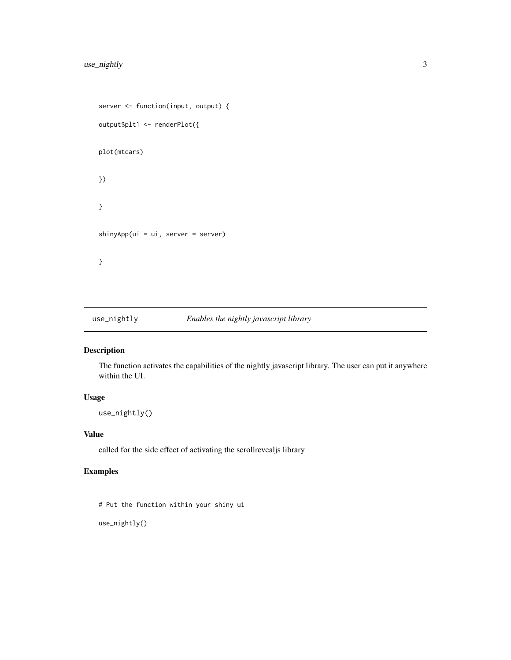```
server <- function(input, output) {
output$plt1 <- renderPlot({
plot(mtcars)
})
}
shinyApp(ui = ui, server = server)
}
```
use\_nightly *Enables the nightly javascript library*

#### Description

The function activates the capabilities of the nightly javascript library. The user can put it anywhere within the UI.

#### Usage

```
use_nightly()
```
#### Value

called for the side effect of activating the scrollrevealjs library

#### Examples

```
# Put the function within your shiny ui
```
use\_nightly()